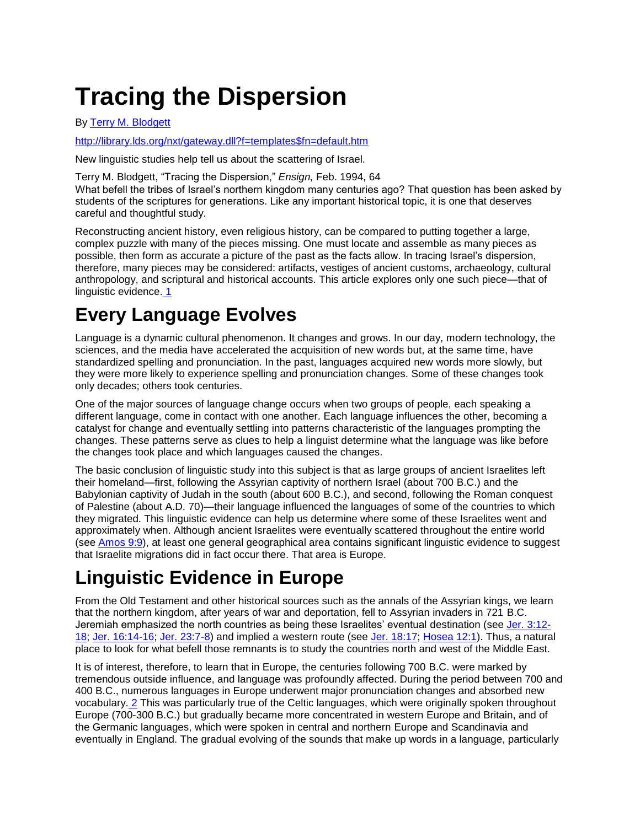# **Tracing the Dispersion**

By [Terry M. Blodgett](http://library.lds.org/nxt/gateway.dll/Magazines/Ensign/1994.htm/ensign%20february%201994.htm/Tracing%20the%20Dispersion.htm/pop00000.htm)

[http://library.lds.org/nxt/gateway.dll?f=templates\\$fn=default.htm](http://library.lds.org/nxt/gateway.dll?f=templates$fn=default.htm)

New linguistic studies help tell us about the scattering of Israel.

Terry M. Blodgett, "Tracing the Dispersion," *Ensign,* Feb. 1994, 64

What befell the tribes of Israel"s northern kingdom many centuries ago? That question has been asked by students of the scriptures for generations. Like any important historical topic, it is one that deserves careful and thoughtful study.

Reconstructing ancient history, even religious history, can be compared to putting together a large, complex puzzle with many of the pieces missing. One must locate and assemble as many pieces as possible, then form as accurate a picture of the past as the facts allow. In tracing Israel"s dispersion, therefore, many pieces may be considered: artifacts, vestiges of ancient customs, archaeology, cultural anthropology, and scriptural and historical accounts. This article explores only one such piece—that of linguistic evidence. [1](http://library.lds.org/nxt/gateway.dll/Magazines/Ensign/1994.htm/ensign%20february%201994.htm/Tracing%20the%20Dispersion.htm/pop00001.htm)

## **Every Language Evolves**

Language is a dynamic cultural phenomenon. It changes and grows. In our day, modern technology, the sciences, and the media have accelerated the acquisition of new words but, at the same time, have standardized spelling and pronunciation. In the past, languages acquired new words more slowly, but they were more likely to experience spelling and pronunciation changes. Some of these changes took only decades; others took centuries.

One of the major sources of language change occurs when two groups of people, each speaking a different language, come in contact with one another. Each language influences the other, becoming a catalyst for change and eventually settling into patterns characteristic of the languages prompting the changes. These patterns serve as clues to help a linguist determine what the language was like before the changes took place and which languages caused the changes.

The basic conclusion of linguistic study into this subject is that as large groups of ancient Israelites left their homeland—first, following the Assyrian captivity of northern Israel (about 700 B.C.) and the Babylonian captivity of Judah in the south (about 600 B.C.), and second, following the Roman conquest of Palestine (about A.D. 70)—their language influenced the languages of some of the countries to which they migrated. This linguistic evidence can help us determine where some of these Israelites went and approximately when. Although ancient Israelites were eventually scattered throughout the entire world (see [Amos 9:9\)](http://scriptures.lds.org/amos/9/9#9), at least one general geographical area contains significant linguistic evidence to suggest that Israelite migrations did in fact occur there. That area is Europe.

# **Linguistic Evidence in Europe**

From the Old Testament and other historical sources such as the annals of the Assyrian kings, we learn that the northern kingdom, after years of war and deportation, fell to Assyrian invaders in 721 B.C. Jeremiah emphasized the north countries as being these Israelites" eventual destination (see [Jer. 3:12-](http://scriptures.lds.org/jer/3/12-18#12) [18;](http://scriptures.lds.org/jer/3/12-18#12) [Jer. 16:14-16;](http://scriptures.lds.org/jer/16/14-16#14) [Jer. 23:7-8\)](http://scriptures.lds.org/jer/23/7-8#7) and implied a western route (see [Jer. 18:17;](http://scriptures.lds.org/jer/18/17#17) [Hosea 12:1\)](http://scriptures.lds.org/hosea/12/1#1). Thus, a natural place to look for what befell those remnants is to study the countries north and west of the Middle East.

It is of interest, therefore, to learn that in Europe, the centuries following 700 B.C. were marked by tremendous outside influence, and language was profoundly affected. During the period between 700 and 400 B.C., numerous languages in Europe underwent major pronunciation changes and absorbed new vocabulary. [2](http://library.lds.org/nxt/gateway.dll/Magazines/Ensign/1994.htm/ensign%20february%201994.htm/Tracing%20the%20Dispersion.htm/pop00002.htm) This was particularly true of the Celtic languages, which were originally spoken throughout Europe (700-300 B.C.) but gradually became more concentrated in western Europe and Britain, and of the Germanic languages, which were spoken in central and northern Europe and Scandinavia and eventually in England. The gradual evolving of the sounds that make up words in a language, particularly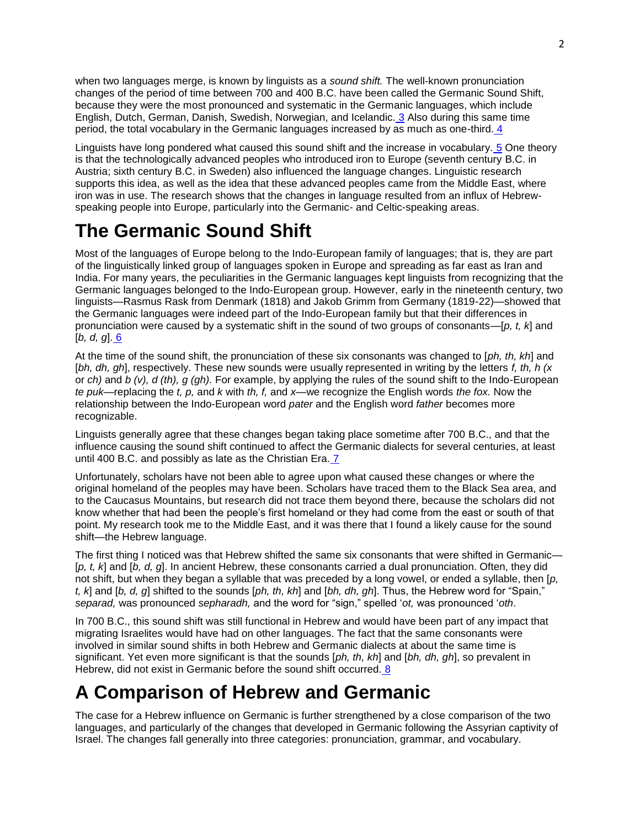when two languages merge, is known by linguists as a *sound shift.* The well-known pronunciation changes of the period of time between 700 and 400 B.C. have been called the Germanic Sound Shift, because they were the most pronounced and systematic in the Germanic languages, which include English, Dutch, German, Danish, Swedish, Norwegian, and Icelandic. [3](http://library.lds.org/nxt/gateway.dll/Magazines/Ensign/1994.htm/ensign%20february%201994.htm/Tracing%20the%20Dispersion.htm/pop00003.htm) Also during this same time period, the total vocabulary in the Germanic languages increased by as much as one-third. [4](http://library.lds.org/nxt/gateway.dll/Magazines/Ensign/1994.htm/ensign%20february%201994.htm/Tracing%20the%20Dispersion.htm/pop00004.htm)

Linguists have long pondered what caused this sound shift and the increase in vocabulary. [5](http://library.lds.org/nxt/gateway.dll/Magazines/Ensign/1994.htm/ensign%20february%201994.htm/Tracing%20the%20Dispersion.htm/pop00005.htm) One theory is that the technologically advanced peoples who introduced iron to Europe (seventh century B.C. in Austria; sixth century B.C. in Sweden) also influenced the language changes. Linguistic research supports this idea, as well as the idea that these advanced peoples came from the Middle East, where iron was in use. The research shows that the changes in language resulted from an influx of Hebrewspeaking people into Europe, particularly into the Germanic- and Celtic-speaking areas.

#### **The Germanic Sound Shift**

Most of the languages of Europe belong to the Indo-European family of languages; that is, they are part of the linguistically linked group of languages spoken in Europe and spreading as far east as Iran and India. For many years, the peculiarities in the Germanic languages kept linguists from recognizing that the Germanic languages belonged to the Indo-European group. However, early in the nineteenth century, two linguists—Rasmus Rask from Denmark (1818) and Jakob Grimm from Germany (1819-22)—showed that the Germanic languages were indeed part of the Indo-European family but that their differences in pronunciation were caused by a systematic shift in the sound of two groups of consonants—[*p, t, k*] and [*b, d, g*]. [6](http://library.lds.org/nxt/gateway.dll/Magazines/Ensign/1994.htm/ensign%20february%201994.htm/Tracing%20the%20Dispersion.htm/pop00006.htm)

At the time of the sound shift, the pronunciation of these six consonants was changed to [*ph, th, kh*] and [*bh, dh, gh*], respectively. These new sounds were usually represented in writing by the letters *f, th, h (x* or *ch)* and *b (v), d (th), g (gh).* For example, by applying the rules of the sound shift to the Indo-European *te puk*—replacing the *t, p,* and *k* with *th, f,* and *x—*we recognize the English words *the fox.* Now the relationship between the Indo-European word *pater* and the English word *father* becomes more recognizable.

Linguists generally agree that these changes began taking place sometime after 700 B.C., and that the influence causing the sound shift continued to affect the Germanic dialects for several centuries, at least until 400 B.C. and possibly as late as the Christian Era. [7](http://library.lds.org/nxt/gateway.dll/Magazines/Ensign/1994.htm/ensign%20february%201994.htm/Tracing%20the%20Dispersion.htm/pop00007.htm)

Unfortunately, scholars have not been able to agree upon what caused these changes or where the original homeland of the peoples may have been. Scholars have traced them to the Black Sea area, and to the Caucasus Mountains, but research did not trace them beyond there, because the scholars did not know whether that had been the people"s first homeland or they had come from the east or south of that point. My research took me to the Middle East, and it was there that I found a likely cause for the sound shift—the Hebrew language.

The first thing I noticed was that Hebrew shifted the same six consonants that were shifted in Germanic— [*p, t, k*] and [*b, d, g*]. In ancient Hebrew, these consonants carried a dual pronunciation. Often, they did not shift, but when they began a syllable that was preceded by a long vowel, or ended a syllable, then [*p, t, k*] and [*b, d, g*] shifted to the sounds [*ph, th, kh*] and [*bh, dh, gh*]. Thus, the Hebrew word for "Spain," *separad,* was pronounced *sepharadh,* and the word for "sign," spelled "*ot,* was pronounced "*oth*.

In 700 B.C., this sound shift was still functional in Hebrew and would have been part of any impact that migrating Israelites would have had on other languages. The fact that the same consonants were involved in similar sound shifts in both Hebrew and Germanic dialects at about the same time is significant. Yet even more significant is that the sounds [*ph, th, kh*] and [*bh, dh, gh*], so prevalent in Hebrew, did not exist in Germanic before the sound shift occurred. [8](http://library.lds.org/nxt/gateway.dll/Magazines/Ensign/1994.htm/ensign%20february%201994.htm/Tracing%20the%20Dispersion.htm/pop00008.htm)

## **A Comparison of Hebrew and Germanic**

The case for a Hebrew influence on Germanic is further strengthened by a close comparison of the two languages, and particularly of the changes that developed in Germanic following the Assyrian captivity of Israel. The changes fall generally into three categories: pronunciation, grammar, and vocabulary.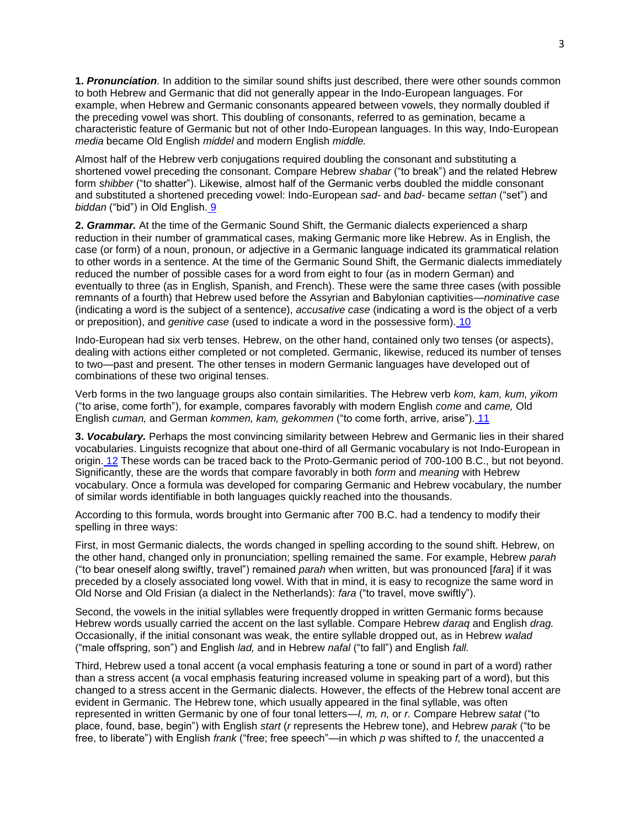**1.** *Pronunciation.* In addition to the similar sound shifts just described, there were other sounds common to both Hebrew and Germanic that did not generally appear in the Indo-European languages. For example, when Hebrew and Germanic consonants appeared between vowels, they normally doubled if the preceding vowel was short. This doubling of consonants, referred to as gemination, became a characteristic feature of Germanic but not of other Indo-European languages. In this way, Indo-European *media* became Old English *middel* and modern English *middle.*

Almost half of the Hebrew verb conjugations required doubling the consonant and substituting a shortened vowel preceding the consonant. Compare Hebrew *shabar* ("to break") and the related Hebrew form *shibber* ("to shatter"). Likewise, almost half of the Germanic verbs doubled the middle consonant and substituted a shortened preceding vowel: Indo-European *sad-* and *bad-* became *settan* ("set") and *biddan* ("bid") in Old English. [9](http://library.lds.org/nxt/gateway.dll/Magazines/Ensign/1994.htm/ensign%20february%201994.htm/Tracing%20the%20Dispersion.htm/pop00009.htm)

**2.** *Grammar.* At the time of the Germanic Sound Shift, the Germanic dialects experienced a sharp reduction in their number of grammatical cases, making Germanic more like Hebrew. As in English, the case (or form) of a noun, pronoun, or adjective in a Germanic language indicated its grammatical relation to other words in a sentence. At the time of the Germanic Sound Shift, the Germanic dialects immediately reduced the number of possible cases for a word from eight to four (as in modern German) and eventually to three (as in English, Spanish, and French). These were the same three cases (with possible remnants of a fourth) that Hebrew used before the Assyrian and Babylonian captivities—*nominative case* (indicating a word is the subject of a sentence), *accusative case* (indicating a word is the object of a verb or preposition), and *genitive case* (used to indicate a word in the possessive form). [10](http://library.lds.org/nxt/gateway.dll/Magazines/Ensign/1994.htm/ensign%20february%201994.htm/Tracing%20the%20Dispersion.htm/pop00010.htm)

Indo-European had six verb tenses. Hebrew, on the other hand, contained only two tenses (or aspects), dealing with actions either completed or not completed. Germanic, likewise, reduced its number of tenses to two—past and present. The other tenses in modern Germanic languages have developed out of combinations of these two original tenses.

Verb forms in the two language groups also contain similarities. The Hebrew verb *kom, kam, kum, yikom* ("to arise, come forth"), for example, compares favorably with modern English *come* and *came,* Old English *cuman,* and German *kommen, kam, gekommen* ("to come forth, arrive, arise"). [11](http://library.lds.org/nxt/gateway.dll/Magazines/Ensign/1994.htm/ensign%20february%201994.htm/Tracing%20the%20Dispersion.htm/pop00011.htm)

**3.** *Vocabulary.* Perhaps the most convincing similarity between Hebrew and Germanic lies in their shared vocabularies. Linguists recognize that about one-third of all Germanic vocabulary is not Indo-European in origin. [12](http://library.lds.org/nxt/gateway.dll/Magazines/Ensign/1994.htm/ensign%20february%201994.htm/Tracing%20the%20Dispersion.htm/pop00012.htm) These words can be traced back to the Proto-Germanic period of 700-100 B.C., but not beyond. Significantly, these are the words that compare favorably in both *form* and *meaning* with Hebrew vocabulary. Once a formula was developed for comparing Germanic and Hebrew vocabulary, the number of similar words identifiable in both languages quickly reached into the thousands.

According to this formula, words brought into Germanic after 700 B.C. had a tendency to modify their spelling in three ways:

First, in most Germanic dialects, the words changed in spelling according to the sound shift. Hebrew, on the other hand, changed only in pronunciation; spelling remained the same. For example, Hebrew *parah* ("to bear oneself along swiftly, travel") remained *parah* when written, but was pronounced [*fara*] if it was preceded by a closely associated long vowel. With that in mind, it is easy to recognize the same word in Old Norse and Old Frisian (a dialect in the Netherlands): *fara* ("to travel, move swiftly").

Second, the vowels in the initial syllables were frequently dropped in written Germanic forms because Hebrew words usually carried the accent on the last syllable. Compare Hebrew *daraq* and English *drag.* Occasionally, if the initial consonant was weak, the entire syllable dropped out, as in Hebrew *walad* ("male offspring, son") and English *lad,* and in Hebrew *nafal* ("to fall") and English *fall.*

Third, Hebrew used a tonal accent (a vocal emphasis featuring a tone or sound in part of a word) rather than a stress accent (a vocal emphasis featuring increased volume in speaking part of a word), but this changed to a stress accent in the Germanic dialects. However, the effects of the Hebrew tonal accent are evident in Germanic. The Hebrew tone, which usually appeared in the final syllable, was often represented in written Germanic by one of four tonal letters—*l, m, n,* or *r.* Compare Hebrew *satat* ("to place, found, base, begin") with English *start* (*r* represents the Hebrew tone), and Hebrew *parak* ("to be free, to liberate") with English *frank* ("free; free speech"—in which *p* was shifted to *f,* the unaccented *a*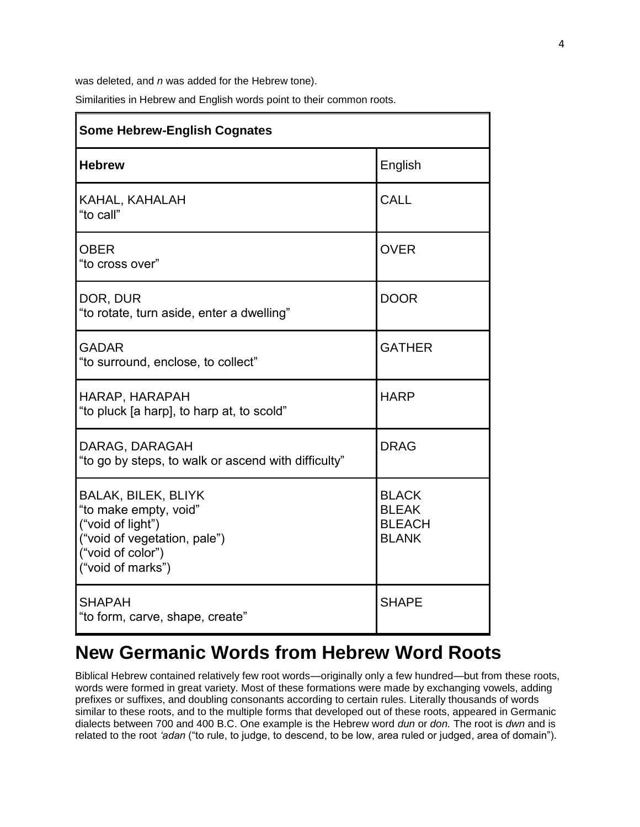was deleted, and *n* was added for the Hebrew tone).

Similarities in Hebrew and English words point to their common roots.

| <b>Some Hebrew-English Cognates</b>                                                                                                                |                                                               |
|----------------------------------------------------------------------------------------------------------------------------------------------------|---------------------------------------------------------------|
| <b>Hebrew</b>                                                                                                                                      | English                                                       |
| KAHAL, KAHALAH<br>"to call"                                                                                                                        | <b>CALL</b>                                                   |
| <b>OBER</b><br>"to cross over"                                                                                                                     | <b>OVER</b>                                                   |
| DOR, DUR<br>"to rotate, turn aside, enter a dwelling"                                                                                              | <b>DOOR</b>                                                   |
| <b>GADAR</b><br>"to surround, enclose, to collect"                                                                                                 | <b>GATHER</b>                                                 |
| HARAP, HARAPAH<br>"to pluck [a harp], to harp at, to scold"                                                                                        | <b>HARP</b>                                                   |
| DARAG, DARAGAH<br>"to go by steps, to walk or ascend with difficulty"                                                                              | <b>DRAG</b>                                                   |
| <b>BALAK, BILEK, BLIYK</b><br>"to make empty, void"<br>("void of light")<br>("void of vegetation, pale")<br>("void of color")<br>("void of marks") | <b>BLACK</b><br><b>BLEAK</b><br><b>BLEACH</b><br><b>BLANK</b> |
| <b>SHAPAH</b><br>"to form, carve, shape, create"                                                                                                   | <b>SHAPE</b>                                                  |

## **New Germanic Words from Hebrew Word Roots**

Biblical Hebrew contained relatively few root words—originally only a few hundred—but from these roots, words were formed in great variety. Most of these formations were made by exchanging vowels, adding prefixes or suffixes, and doubling consonants according to certain rules. Literally thousands of words similar to these roots, and to the multiple forms that developed out of these roots, appeared in Germanic dialects between 700 and 400 B.C. One example is the Hebrew word *dun* or *don.* The root is *dwn* and is related to the root *'adan* ("to rule, to judge, to descend, to be low, area ruled or judged, area of domain").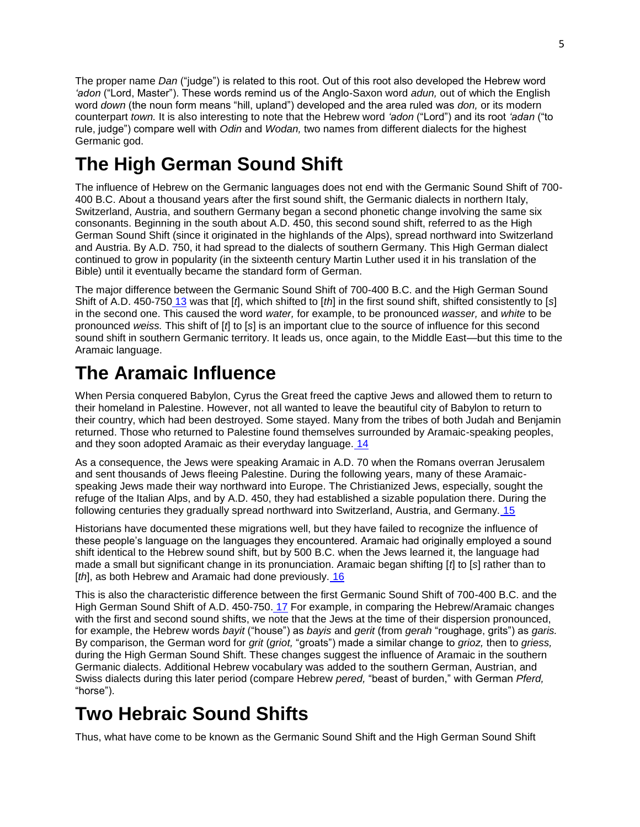The proper name *Dan* ("judge") is related to this root. Out of this root also developed the Hebrew word *'adon* ("Lord, Master"). These words remind us of the Anglo-Saxon word *adun,* out of which the English word *down* (the noun form means "hill, upland") developed and the area ruled was *don,* or its modern counterpart *town.* It is also interesting to note that the Hebrew word *'adon* ("Lord") and its root *'adan* ("to rule, judge") compare well with *Odin* and *Wodan,* two names from different dialects for the highest Germanic god.

# **The High German Sound Shift**

The influence of Hebrew on the Germanic languages does not end with the Germanic Sound Shift of 700- 400 B.C. About a thousand years after the first sound shift, the Germanic dialects in northern Italy, Switzerland, Austria, and southern Germany began a second phonetic change involving the same six consonants. Beginning in the south about A.D. 450, this second sound shift, referred to as the High German Sound Shift (since it originated in the highlands of the Alps), spread northward into Switzerland and Austria. By A.D. 750, it had spread to the dialects of southern Germany. This High German dialect continued to grow in popularity (in the sixteenth century Martin Luther used it in his translation of the Bible) until it eventually became the standard form of German.

The major difference between the Germanic Sound Shift of 700-400 B.C. and the High German Sound Shift of A.D. 450-750 [13](http://library.lds.org/nxt/gateway.dll/Magazines/Ensign/1994.htm/ensign%20february%201994.htm/Tracing%20the%20Dispersion.htm/pop00013.htm) was that [*t*], which shifted to [*th*] in the first sound shift, shifted consistently to [*s*] in the second one. This caused the word *water,* for example, to be pronounced *wasser,* and *white* to be pronounced *weiss.* This shift of [*t*] to [*s*] is an important clue to the source of influence for this second sound shift in southern Germanic territory. It leads us, once again, to the Middle East—but this time to the Aramaic language.

## **The Aramaic Influence**

When Persia conquered Babylon, Cyrus the Great freed the captive Jews and allowed them to return to their homeland in Palestine. However, not all wanted to leave the beautiful city of Babylon to return to their country, which had been destroyed. Some stayed. Many from the tribes of both Judah and Benjamin returned. Those who returned to Palestine found themselves surrounded by Aramaic-speaking peoples, and they soon adopted Aramaic as their everyday language. [14](http://library.lds.org/nxt/gateway.dll/Magazines/Ensign/1994.htm/ensign%20february%201994.htm/Tracing%20the%20Dispersion.htm/pop00014.htm)

As a consequence, the Jews were speaking Aramaic in A.D. 70 when the Romans overran Jerusalem and sent thousands of Jews fleeing Palestine. During the following years, many of these Aramaicspeaking Jews made their way northward into Europe. The Christianized Jews, especially, sought the refuge of the Italian Alps, and by A.D. 450, they had established a sizable population there. During the following centuries they gradually spread northward into Switzerland, Austria, and Germany. [15](http://library.lds.org/nxt/gateway.dll/Magazines/Ensign/1994.htm/ensign%20february%201994.htm/Tracing%20the%20Dispersion.htm/pop00015.htm)

Historians have documented these migrations well, but they have failed to recognize the influence of these people"s language on the languages they encountered. Aramaic had originally employed a sound shift identical to the Hebrew sound shift, but by 500 B.C. when the Jews learned it, the language had made a small but significant change in its pronunciation. Aramaic began shifting [*t*] to [*s*] rather than to [*th*], as both Hebrew and Aramaic had done previously, [16](http://library.lds.org/nxt/gateway.dll/Magazines/Ensign/1994.htm/ensign%20february%201994.htm/Tracing%20the%20Dispersion.htm/pop00016.htm)

This is also the characteristic difference between the first Germanic Sound Shift of 700-400 B.C. and the High German Sound Shift of A.D. 450-750. [17](http://library.lds.org/nxt/gateway.dll/Magazines/Ensign/1994.htm/ensign%20february%201994.htm/Tracing%20the%20Dispersion.htm/pop00017.htm) For example, in comparing the Hebrew/Aramaic changes with the first and second sound shifts, we note that the Jews at the time of their dispersion pronounced, for example, the Hebrew words *bayit* ("house") as *bayis* and *gerit* (from *gerah* "roughage, grits") as *garis.* By comparison, the German word for *grit* (*griot,* "groats") made a similar change to *grioz,* then to *griess,* during the High German Sound Shift. These changes suggest the influence of Aramaic in the southern Germanic dialects. Additional Hebrew vocabulary was added to the southern German, Austrian, and Swiss dialects during this later period (compare Hebrew *pered,* "beast of burden," with German *Pferd,* "horse").

# **Two Hebraic Sound Shifts**

Thus, what have come to be known as the Germanic Sound Shift and the High German Sound Shift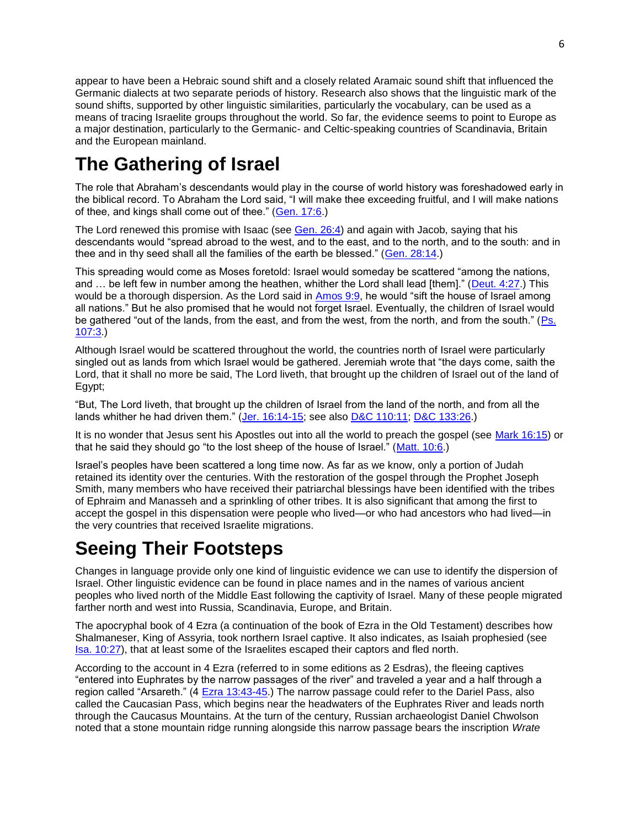appear to have been a Hebraic sound shift and a closely related Aramaic sound shift that influenced the Germanic dialects at two separate periods of history. Research also shows that the linguistic mark of the sound shifts, supported by other linguistic similarities, particularly the vocabulary, can be used as a means of tracing Israelite groups throughout the world. So far, the evidence seems to point to Europe as a major destination, particularly to the Germanic- and Celtic-speaking countries of Scandinavia, Britain and the European mainland.

# **The Gathering of Israel**

The role that Abraham"s descendants would play in the course of world history was foreshadowed early in the biblical record. To Abraham the Lord said, "I will make thee exceeding fruitful, and I will make nations of thee, and kings shall come out of thee." [\(Gen. 17:6.](http://scriptures.lds.org/gen/17/6#6))

The Lord renewed this promise with Isaac (see [Gen. 26:4\)](http://scriptures.lds.org/gen/26/4#4) and again with Jacob, saying that his descendants would "spread abroad to the west, and to the east, and to the north, and to the south: and in thee and in thy seed shall all the families of the earth be blessed." [\(Gen. 28:14.](http://scriptures.lds.org/gen/28/14#14))

This spreading would come as Moses foretold: Israel would someday be scattered "among the nations, and … be left few in number among the heathen, whither the Lord shall lead [them]." [\(Deut. 4:27.](http://scriptures.lds.org/deut/4/27#27)) This would be a thorough dispersion. As the Lord said in [Amos 9:9,](http://scriptures.lds.org/amos/9/9#9) he would "sift the house of Israel among all nations." But he also promised that he would not forget Israel. Eventually, the children of Israel would be gathered "out of the lands, from the east, and from the west, from the north, and from the south." [\(Ps.](http://scriptures.lds.org/ps/107/3#3)  [107:3.](http://scriptures.lds.org/ps/107/3#3))

Although Israel would be scattered throughout the world, the countries north of Israel were particularly singled out as lands from which Israel would be gathered. Jeremiah wrote that "the days come, saith the Lord, that it shall no more be said, The Lord liveth, that brought up the children of Israel out of the land of Egypt;

"But, The Lord liveth, that brought up the children of Israel from the land of the north, and from all the lands whither he had driven them." [\(Jer. 16:14-15;](http://scriptures.lds.org/jer/16/14-15#14) see also [D&C 110:11;](http://scriptures.lds.org/dc/110/11#11) [D&C 133:26.](http://scriptures.lds.org/dc/133/26#26))

It is no wonder that Jesus sent his Apostles out into all the world to preach the gospel (see [Mark 16:15\)](http://scriptures.lds.org/mark/16/15#15) or that he said they should go "to the lost sheep of the house of Israel." [\(Matt. 10:6.](http://scriptures.lds.org/matt/10/6#6))

Israel"s peoples have been scattered a long time now. As far as we know, only a portion of Judah retained its identity over the centuries. With the restoration of the gospel through the Prophet Joseph Smith, many members who have received their patriarchal blessings have been identified with the tribes of Ephraim and Manasseh and a sprinkling of other tribes. It is also significant that among the first to accept the gospel in this dispensation were people who lived—or who had ancestors who had lived—in the very countries that received Israelite migrations.

## **Seeing Their Footsteps**

Changes in language provide only one kind of linguistic evidence we can use to identify the dispersion of Israel. Other linguistic evidence can be found in place names and in the names of various ancient peoples who lived north of the Middle East following the captivity of Israel. Many of these people migrated farther north and west into Russia, Scandinavia, Europe, and Britain.

The apocryphal book of 4 Ezra (a continuation of the book of Ezra in the Old Testament) describes how Shalmaneser, King of Assyria, took northern Israel captive. It also indicates, as Isaiah prophesied (see [Isa. 10:27\)](http://scriptures.lds.org/isa/10/27#27), that at least some of the Israelites escaped their captors and fled north.

According to the account in 4 Ezra (referred to in some editions as 2 Esdras), the fleeing captives "entered into Euphrates by the narrow passages of the river" and traveled a year and a half through a region called "Arsareth." (4 [Ezra 13:43-45.](http://scriptures.lds.org/ezra/13/43-45#43)) The narrow passage could refer to the Dariel Pass, also called the Caucasian Pass, which begins near the headwaters of the Euphrates River and leads north through the Caucasus Mountains. At the turn of the century, Russian archaeologist Daniel Chwolson noted that a stone mountain ridge running alongside this narrow passage bears the inscription *Wrate*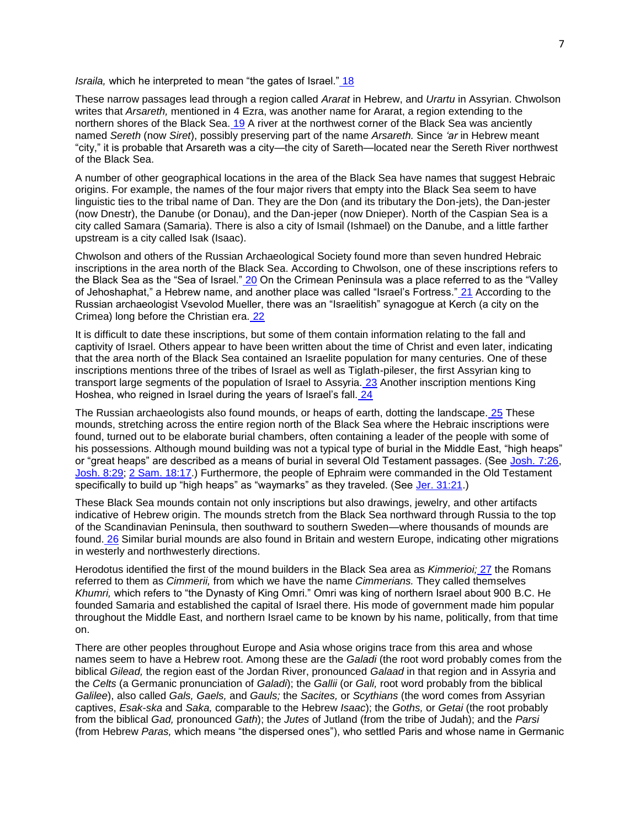*Israila,* which he interpreted to mean "the gates of Israel." [18](http://library.lds.org/nxt/gateway.dll/Magazines/Ensign/1994.htm/ensign%20february%201994.htm/Tracing%20the%20Dispersion.htm/pop00018.htm)

These narrow passages lead through a region called *Ararat* in Hebrew, and *Urartu* in Assyrian. Chwolson writes that *Arsareth,* mentioned in 4 Ezra, was another name for Ararat, a region extending to the northern shores of the Black Sea. [19](http://library.lds.org/nxt/gateway.dll/Magazines/Ensign/1994.htm/ensign%20february%201994.htm/Tracing%20the%20Dispersion.htm/pop00019.htm) A river at the northwest corner of the Black Sea was anciently named *Sereth* (now *Siret*), possibly preserving part of the name *Arsareth.* Since *'ar* in Hebrew meant "city," it is probable that Arsareth was a city—the city of Sareth—located near the Sereth River northwest of the Black Sea.

A number of other geographical locations in the area of the Black Sea have names that suggest Hebraic origins. For example, the names of the four major rivers that empty into the Black Sea seem to have linguistic ties to the tribal name of Dan. They are the Don (and its tributary the Don-jets), the Dan-jester (now Dnestr), the Danube (or Donau), and the Dan-jeper (now Dnieper). North of the Caspian Sea is a city called Samara (Samaria). There is also a city of Ismail (Ishmael) on the Danube, and a little farther upstream is a city called Isak (Isaac).

Chwolson and others of the Russian Archaeological Society found more than seven hundred Hebraic inscriptions in the area north of the Black Sea. According to Chwolson, one of these inscriptions refers to the Black Sea as the "Sea of Israel." [20](http://library.lds.org/nxt/gateway.dll/Magazines/Ensign/1994.htm/ensign%20february%201994.htm/Tracing%20the%20Dispersion.htm/pop00020.htm) On the Crimean Peninsula was a place referred to as the "Valley of Jehoshaphat," a Hebrew name, and another place was called "Israel's Fortress." [21](http://library.lds.org/nxt/gateway.dll/Magazines/Ensign/1994.htm/ensign%20february%201994.htm/Tracing%20the%20Dispersion.htm/pop00021.htm) According to the Russian archaeologist Vsevolod Mueller, there was an "Israelitish" synagogue at Kerch (a city on the Crimea) long before the Christian era. [22](http://library.lds.org/nxt/gateway.dll/Magazines/Ensign/1994.htm/ensign%20february%201994.htm/Tracing%20the%20Dispersion.htm/pop00022.htm)

It is difficult to date these inscriptions, but some of them contain information relating to the fall and captivity of Israel. Others appear to have been written about the time of Christ and even later, indicating that the area north of the Black Sea contained an Israelite population for many centuries. One of these inscriptions mentions three of the tribes of Israel as well as Tiglath-pileser, the first Assyrian king to transport large segments of the population of Israel to Assyria. [23](http://library.lds.org/nxt/gateway.dll/Magazines/Ensign/1994.htm/ensign%20february%201994.htm/Tracing%20the%20Dispersion.htm/pop00023.htm) Another inscription mentions King Hoshea, who reigned in Israel during the years of Israel's fall. [24](http://library.lds.org/nxt/gateway.dll/Magazines/Ensign/1994.htm/ensign%20february%201994.htm/Tracing%20the%20Dispersion.htm/pop00024.htm)

The Russian archaeologists also found mounds, or heaps of earth, dotting the landscape. [25](http://library.lds.org/nxt/gateway.dll/Magazines/Ensign/1994.htm/ensign%20february%201994.htm/Tracing%20the%20Dispersion.htm/pop00025.htm) These mounds, stretching across the entire region north of the Black Sea where the Hebraic inscriptions were found, turned out to be elaborate burial chambers, often containing a leader of the people with some of his possessions. Although mound building was not a typical type of burial in the Middle East, "high heaps" or "great heaps" are described as a means of burial in several Old Testament passages. (See [Josh. 7:26,](http://scriptures.lds.org/josh/7/26#26) [Josh. 8:29;](http://scriptures.lds.org/josh/8/29#29) [2 Sam. 18:17.](http://scriptures.lds.org/2_sam/18/17#17)) Furthermore, the people of Ephraim were commanded in the Old Testament specifically to build up "high heaps" as "waymarks" as they traveled. (See [Jer. 31:21.](http://scriptures.lds.org/jer/31/21#21))

These Black Sea mounds contain not only inscriptions but also drawings, jewelry, and other artifacts indicative of Hebrew origin. The mounds stretch from the Black Sea northward through Russia to the top of the Scandinavian Peninsula, then southward to southern Sweden—where thousands of mounds are found. [26](http://library.lds.org/nxt/gateway.dll/Magazines/Ensign/1994.htm/ensign%20february%201994.htm/Tracing%20the%20Dispersion.htm/pop00026.htm) Similar burial mounds are also found in Britain and western Europe, indicating other migrations in westerly and northwesterly directions.

Herodotus identified the first of the mound builders in the Black Sea area as *Kimmerioi;* [27](http://library.lds.org/nxt/gateway.dll/Magazines/Ensign/1994.htm/ensign%20february%201994.htm/Tracing%20the%20Dispersion.htm/pop00027.htm) the Romans referred to them as *Cimmerii,* from which we have the name *Cimmerians.* They called themselves *Khumri,* which refers to "the Dynasty of King Omri." Omri was king of northern Israel about 900 B.C. He founded Samaria and established the capital of Israel there. His mode of government made him popular throughout the Middle East, and northern Israel came to be known by his name, politically, from that time on.

There are other peoples throughout Europe and Asia whose origins trace from this area and whose names seem to have a Hebrew root. Among these are the *Galadi* (the root word probably comes from the biblical *Gilead,* the region east of the Jordan River, pronounced *Galaad* in that region and in Assyria and the *Celts* (a Germanic pronunciation of *Galadi*); the *Gallii* (or *Gali,* root word probably from the biblical *Galilee*), also called *Gals, Gaels,* and *Gauls;* the *Sacites,* or *Scythians* (the word comes from Assyrian captives, *Esak-ska* and *Saka,* comparable to the Hebrew *Isaac*); the *Goths,* or *Getai* (the root probably from the biblical *Gad,* pronounced *Gath*); the *Jutes* of Jutland (from the tribe of Judah); and the *Parsi* (from Hebrew *Paras,* which means "the dispersed ones"), who settled Paris and whose name in Germanic